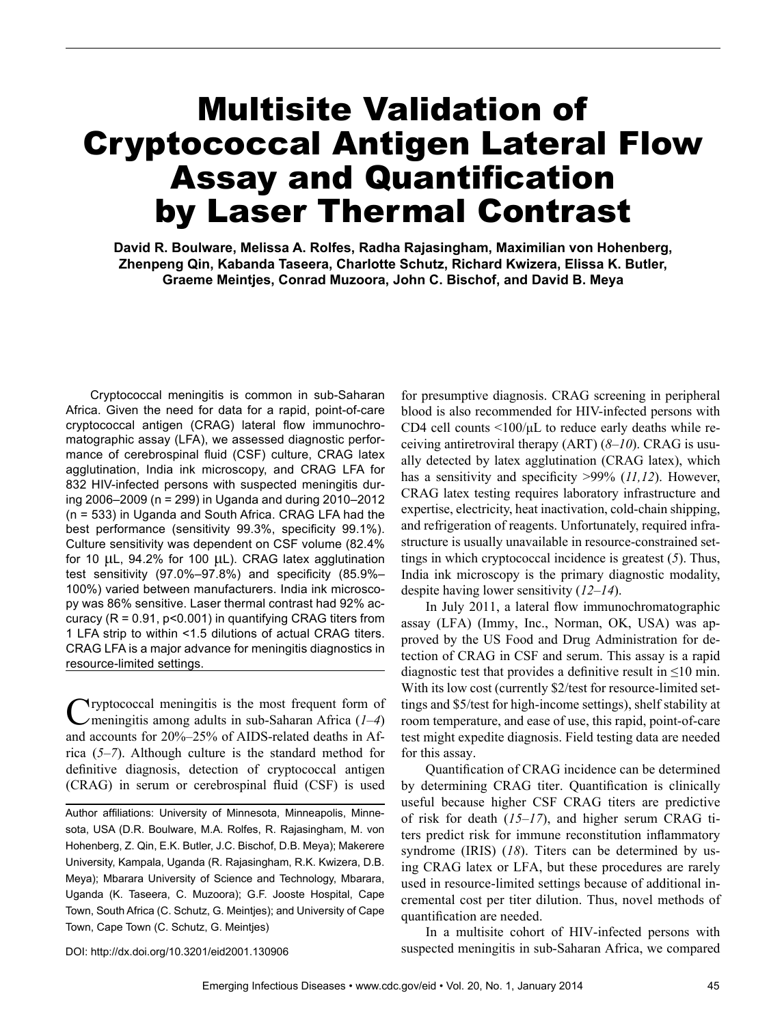# Multisite Validation of Cryptococcal Antigen Lateral Flow Assay and Quantification by Laser Thermal Contrast

**David R. Boulware, Melissa A. Rolfes, Radha Rajasingham, Maximilian von Hohenberg, Zhenpeng Qin, Kabanda Taseera, Charlotte Schutz, Richard Kwizera, Elissa K. Butler, Graeme Meintjes, Conrad Muzoora, John C. Bischof, and David B. Meya**

Cryptococcal meningitis is common in sub-Saharan Africa. Given the need for data for a rapid, point-of-care cryptococcal antigen (CRAG) lateral flow immunochromatographic assay (LFA), we assessed diagnostic performance of cerebrospinal fluid (CSF) culture, CRAG latex agglutination, India ink microscopy, and CRAG LFA for 832 HIV-infected persons with suspected meningitis during 2006–2009 (n = 299) in Uganda and during 2010–2012 (n = 533) in Uganda and South Africa. CRAG LFA had the best performance (sensitivity 99.3%, specificity 99.1%). Culture sensitivity was dependent on CSF volume (82.4% for 10 μL, 94.2% for 100 μL). CRAG latex agglutination test sensitivity (97.0%–97.8%) and specificity (85.9%– 100%) varied between manufacturers. India ink microscopy was 86% sensitive. Laser thermal contrast had 92% accuracy (R = 0.91, p<0.001) in quantifying CRAG titers from 1 LFA strip to within <1.5 dilutions of actual CRAG titers. CRAG LFA is a major advance for meningitis diagnostics in resource-limited settings.

**Tryptococcal meningitis is the most frequent form of** meningitis among adults in sub-Saharan Africa (*1–4*) and accounts for 20%–25% of AIDS-related deaths in Africa (*5–7*). Although culture is the standard method for definitive diagnosis, detection of cryptococcal antigen (CRAG) in serum or cerebrospinal fluid (CSF) is used

Author affiliations: University of Minnesota, Minneapolis, Minnesota, USA (D.R. Boulware, M.A. Rolfes, R. Rajasingham, M. von Hohenberg, Z. Qin, E.K. Butler, J.C. Bischof, D.B. Meya); Makerere University, Kampala, Uganda (R. Rajasingham, R.K. Kwizera, D.B. Meya); Mbarara University of Science and Technology, Mbarara, Uganda (K. Taseera, C. Muzoora); G.F. Jooste Hospital, Cape Town, South Africa (C. Schutz, G. Meintjes); and University of Cape Town, Cape Town (C. Schutz, G. Meintjes)

for presumptive diagnosis. CRAG screening in peripheral blood is also recommended for HIV-infected persons with CD4 cell counts  $\langle 100/\mu L \rangle$  to reduce early deaths while receiving antiretroviral therapy (ART) (*8–10*). CRAG is usually detected by latex agglutination (CRAG latex), which has a sensitivity and specificity >99% (*11,12*). However, CRAG latex testing requires laboratory infrastructure and expertise, electricity, heat inactivation, cold-chain shipping, and refrigeration of reagents. Unfortunately, required infrastructure is usually unavailable in resource-constrained settings in which cryptococcal incidence is greatest (*5*). Thus, India ink microscopy is the primary diagnostic modality, despite having lower sensitivity (*12–14*).

In July 2011, a lateral flow immunochromatographic assay (LFA) (Immy, Inc., Norman, OK, USA) was approved by the US Food and Drug Administration for detection of CRAG in CSF and serum. This assay is a rapid diagnostic test that provides a definitive result in  $\leq 10$  min. With its low cost (currently \$2/test for resource-limited settings and \$5/test for high-income settings), shelf stability at room temperature, and ease of use, this rapid, point-of-care test might expedite diagnosis. Field testing data are needed for this assay.

Quantification of CRAG incidence can be determined by determining CRAG titer. Quantification is clinically useful because higher CSF CRAG titers are predictive of risk for death (*15–17*), and higher serum CRAG titers predict risk for immune reconstitution inflammatory syndrome (IRIS) (*18*). Titers can be determined by using CRAG latex or LFA, but these procedures are rarely used in resource-limited settings because of additional incremental cost per titer dilution. Thus, novel methods of quantification are needed.

In a multisite cohort of HIV-infected persons with suspected meningitis in sub-Saharan Africa, we compared

DOI: http://dx.doi.org/10.3201/eid2001.130906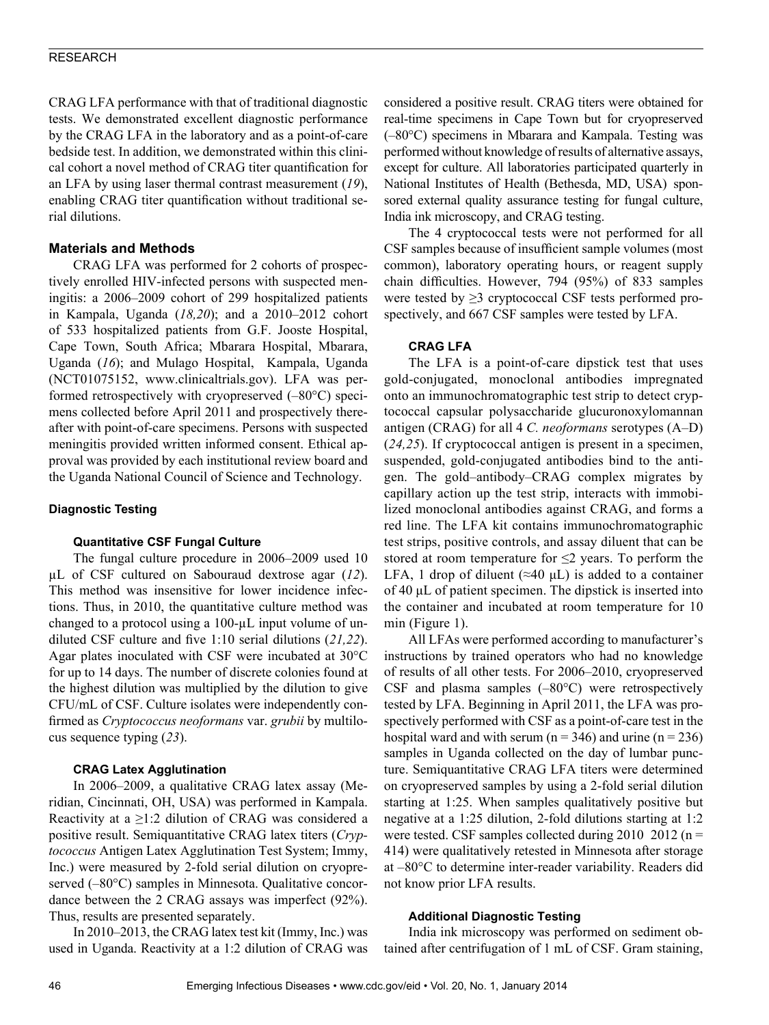CRAG LFA performance with that of traditional diagnostic tests. We demonstrated excellent diagnostic performance by the CRAG LFA in the laboratory and as a point-of-care bedside test. In addition, we demonstrated within this clinical cohort a novel method of CRAG titer quantification for an LFA by using laser thermal contrast measurement (*19*), enabling CRAG titer quantification without traditional serial dilutions.

# **Materials and Methods**

CRAG LFA was performed for 2 cohorts of prospectively enrolled HIV-infected persons with suspected meningitis: a 2006–2009 cohort of 299 hospitalized patients in Kampala, Uganda (*18,20*); and a 2010–2012 cohort of 533 hospitalized patients from G.F. Jooste Hospital, Cape Town, South Africa; Mbarara Hospital, Mbarara, Uganda (*16*); and Mulago Hospital, Kampala, Uganda (NCT01075152, www.clinicaltrials.gov). LFA was performed retrospectively with cryopreserved (–80°C) specimens collected before April 2011 and prospectively thereafter with point-of-care specimens. Persons with suspected meningitis provided written informed consent. Ethical approval was provided by each institutional review board and the Uganda National Council of Science and Technology.

# **Diagnostic Testing**

## **Quantitative CSF Fungal Culture**

The fungal culture procedure in 2006–2009 used 10 µL of CSF cultured on Sabouraud dextrose agar (*12*). This method was insensitive for lower incidence infections. Thus, in 2010, the quantitative culture method was changed to a protocol using a  $100$ - $\mu$ L input volume of undiluted CSF culture and five 1:10 serial dilutions (*21,22*). Agar plates inoculated with CSF were incubated at 30°C for up to 14 days. The number of discrete colonies found at the highest dilution was multiplied by the dilution to give CFU/mL of CSF. Culture isolates were independently confirmed as *Cryptococcus neoformans* var. *grubii* by multilocus sequence typing (*23*).

## **CRAG Latex Agglutination**

In 2006–2009, a qualitative CRAG latex assay (Meridian, Cincinnati, OH, USA) was performed in Kampala. Reactivity at a  $\geq$ 1:2 dilution of CRAG was considered a positive result. Semiquantitative CRAG latex titers (*Cryptococcus* Antigen Latex Agglutination Test System; Immy, Inc.) were measured by 2-fold serial dilution on cryopreserved (–80°C) samples in Minnesota. Qualitative concordance between the 2 CRAG assays was imperfect (92%). Thus, results are presented separately.

In 2010–2013, the CRAG latex test kit (Immy, Inc.) was used in Uganda. Reactivity at a 1:2 dilution of CRAG was considered a positive result. CRAG titers were obtained for real-time specimens in Cape Town but for cryopreserved (–80°C) specimens in Mbarara and Kampala. Testing was performed without knowledge of results of alternative assays, except for culture. All laboratories participated quarterly in National Institutes of Health (Bethesda, MD, USA) sponsored external quality assurance testing for fungal culture, India ink microscopy, and CRAG testing.

The 4 cryptococcal tests were not performed for all CSF samples because of insufficient sample volumes (most common), laboratory operating hours, or reagent supply chain difficulties. However, 794 (95%) of 833 samples were tested by  $\geq$ 3 cryptococcal CSF tests performed prospectively, and 667 CSF samples were tested by LFA.

## **CRAG LFA**

The LFA is a point-of-care dipstick test that uses gold-conjugated, monoclonal antibodies impregnated onto an immunochromatographic test strip to detect cryptococcal capsular polysaccharide glucuronoxylomannan antigen (CRAG) for all 4 *C. neoformans* serotypes (A–D) (*24,25*). If cryptococcal antigen is present in a specimen, suspended, gold-conjugated antibodies bind to the antigen. The gold–antibody–CRAG complex migrates by capillary action up the test strip, interacts with immobilized monoclonal antibodies against CRAG, and forms a red line. The LFA kit contains immunochromatographic test strips, positive controls, and assay diluent that can be stored at room temperature for  $\leq$ 2 years. To perform the LFA, 1 drop of diluent ( $\approx$ 40 µL) is added to a container of 40 μL of patient specimen. The dipstick is inserted into the container and incubated at room temperature for 10 min (Figure 1).

All LFAs were performed according to manufacturer's instructions by trained operators who had no knowledge of results of all other tests. For 2006–2010, cryopreserved CSF and plasma samples (–80°C) were retrospectively tested by LFA. Beginning in April 2011, the LFA was prospectively performed with CSF as a point-of-care test in the hospital ward and with serum ( $n = 346$ ) and urine ( $n = 236$ ) samples in Uganda collected on the day of lumbar puncture. Semiquantitative CRAG LFA titers were determined on cryopreserved samples by using a 2-fold serial dilution starting at 1:25. When samples qualitatively positive but negative at a 1:25 dilution, 2-fold dilutions starting at 1:2 were tested. CSF samples collected during  $2010\ 2012$  (n = 414) were qualitatively retested in Minnesota after storage at –80°C to determine inter-reader variability. Readers did not know prior LFA results.

## **Additional Diagnostic Testing**

India ink microscopy was performed on sediment obtained after centrifugation of 1 mL of CSF. Gram staining,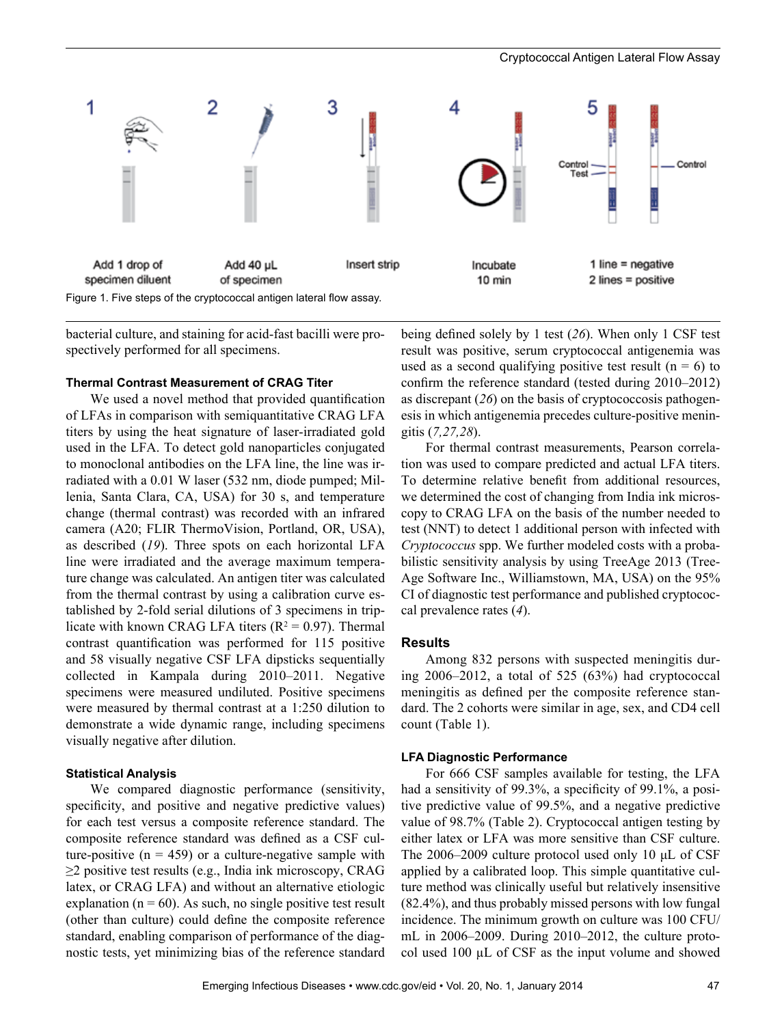

bacterial culture, and staining for acid-fast bacilli were prospectively performed for all specimens.

#### **Thermal Contrast Measurement of CRAG Titer**

We used a novel method that provided quantification of LFAs in comparison with semiquantitative CRAG LFA titers by using the heat signature of laser-irradiated gold used in the LFA. To detect gold nanoparticles conjugated to monoclonal antibodies on the LFA line, the line was irradiated with a 0.01 W laser (532 nm, diode pumped; Millenia, Santa Clara, CA, USA) for 30 s, and temperature change (thermal contrast) was recorded with an infrared camera (A20; FLIR ThermoVision, Portland, OR, USA), as described (*19*). Three spots on each horizontal LFA line were irradiated and the average maximum temperature change was calculated. An antigen titer was calculated from the thermal contrast by using a calibration curve established by 2-fold serial dilutions of 3 specimens in triplicate with known CRAG LFA titers  $(R^2 = 0.97)$ . Thermal contrast quantification was performed for 115 positive and 58 visually negative CSF LFA dipsticks sequentially collected in Kampala during 2010–2011. Negative specimens were measured undiluted. Positive specimens were measured by thermal contrast at a 1:250 dilution to demonstrate a wide dynamic range, including specimens visually negative after dilution.

#### **Statistical Analysis**

We compared diagnostic performance (sensitivity, specificity, and positive and negative predictive values) for each test versus a composite reference standard. The composite reference standard was defined as a CSF culture-positive ( $n = 459$ ) or a culture-negative sample with ≥2 positive test results (e.g., India ink microscopy, CRAG latex, or CRAG LFA) and without an alternative etiologic explanation ( $n = 60$ ). As such, no single positive test result (other than culture) could define the composite reference standard, enabling comparison of performance of the diagnostic tests, yet minimizing bias of the reference standard

being defined solely by 1 test (*26*). When only 1 CSF test result was positive, serum cryptococcal antigenemia was used as a second qualifying positive test result ( $n = 6$ ) to confirm the reference standard (tested during 2010–2012) as discrepant (*26*) on the basis of cryptococcosis pathogenesis in which antigenemia precedes culture-positive meningitis (*7,27,28*).

For thermal contrast measurements, Pearson correlation was used to compare predicted and actual LFA titers. To determine relative benefit from additional resources, we determined the cost of changing from India ink microscopy to CRAG LFA on the basis of the number needed to test (NNT) to detect 1 additional person with infected with *Cryptococcus* spp. We further modeled costs with a probabilistic sensitivity analysis by using TreeAge 2013 (Tree-Age Software Inc., Williamstown, MA, USA) on the 95% CI of diagnostic test performance and published cryptococcal prevalence rates (*4*).

### **Results**

Among 832 persons with suspected meningitis during 2006–2012, a total of 525 (63%) had cryptococcal meningitis as defined per the composite reference standard. The 2 cohorts were similar in age, sex, and CD4 cell count (Table 1).

#### **LFA Diagnostic Performance**

For 666 CSF samples available for testing, the LFA had a sensitivity of 99.3%, a specificity of 99.1%, a positive predictive value of 99.5%, and a negative predictive value of 98.7% (Table 2). Cryptococcal antigen testing by either latex or LFA was more sensitive than CSF culture. The 2006–2009 culture protocol used only 10 μL of CSF applied by a calibrated loop. This simple quantitative culture method was clinically useful but relatively insensitive (82.4%), and thus probably missed persons with low fungal incidence. The minimum growth on culture was 100 CFU/ mL in 2006–2009. During 2010–2012, the culture protocol used 100 µL of CSF as the input volume and showed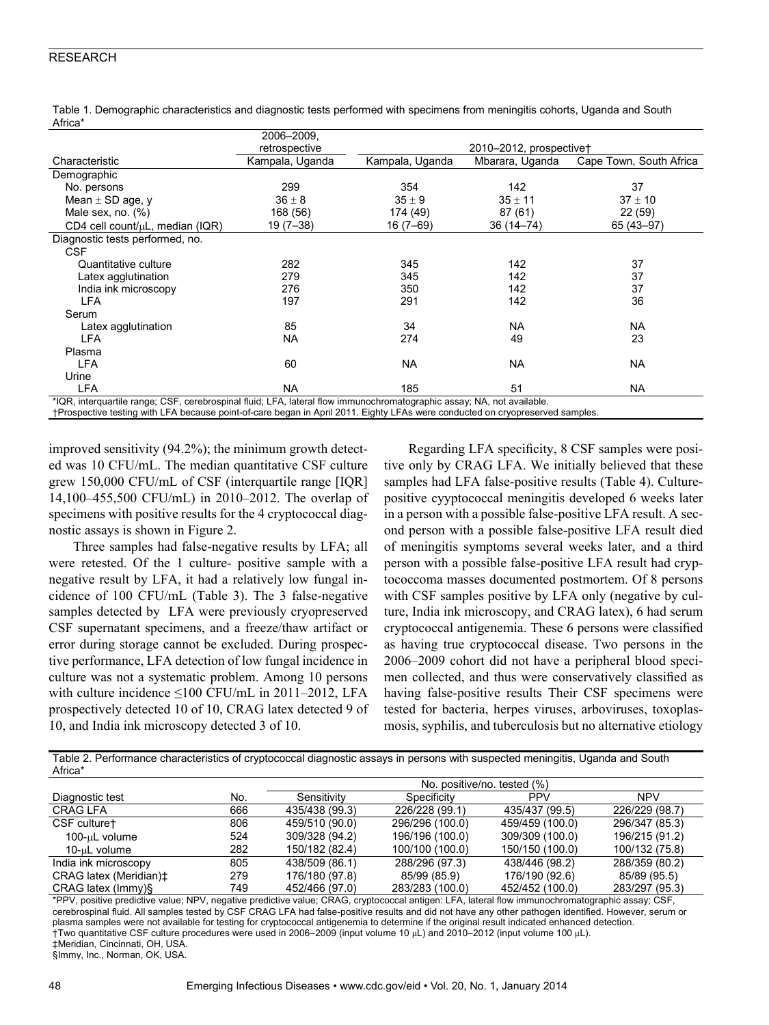## RESEARCH

Table 1. Demographic characteristics and diagnostic tests performed with specimens from meningitis cohorts, Uganda and South Africa\*

|                                                                                                                               | 2006-2009.      |                         |                 |                         |  |
|-------------------------------------------------------------------------------------------------------------------------------|-----------------|-------------------------|-----------------|-------------------------|--|
|                                                                                                                               | retrospective   | 2010–2012, prospectivet |                 |                         |  |
| Characteristic                                                                                                                | Kampala, Uganda | Kampala, Uganda         | Mbarara, Uganda | Cape Town, South Africa |  |
| Demographic                                                                                                                   |                 |                         |                 |                         |  |
| No. persons                                                                                                                   | 299             | 354                     | 142             | 37                      |  |
| Mean $\pm$ SD age, y                                                                                                          | $36 \pm 8$      | $35 + 9$                | $35 \pm 11$     | $37 \pm 10$             |  |
| Male sex, no. $(\%)$                                                                                                          | 168 (56)        | 174 (49)                | 87(61)          | 22(59)                  |  |
| CD4 cell count/ $\mu$ L, median (IQR)                                                                                         | 19 (7–38)       | 16 (7–69)               | 36 (14 – 74)    | 65 (43-97)              |  |
| Diagnostic tests performed, no.                                                                                               |                 |                         |                 |                         |  |
| <b>CSF</b>                                                                                                                    |                 |                         |                 |                         |  |
| Quantitative culture                                                                                                          | 282             | 345                     | 142             | 37                      |  |
| Latex agglutination                                                                                                           | 279             | 345                     | 142             | 37                      |  |
| India ink microscopy                                                                                                          | 276             | 350                     | 142             | 37                      |  |
| <b>LFA</b>                                                                                                                    | 197             | 142<br>291              |                 | 36                      |  |
| Serum                                                                                                                         |                 |                         |                 |                         |  |
| Latex agglutination                                                                                                           | 85              | 34                      | NA.             | NA                      |  |
| <b>LFA</b>                                                                                                                    | NA              | 49<br>274               |                 | 23                      |  |
| Plasma                                                                                                                        |                 |                         |                 |                         |  |
| <b>LFA</b>                                                                                                                    | 60              | <b>NA</b>               | NA.             | NA                      |  |
| Urine                                                                                                                         |                 |                         |                 |                         |  |
| LFA                                                                                                                           | NA.             | 185                     | 51              | NA                      |  |
| *IQR, interguartile range; CSF, cerebrospinal fluid; LFA, lateral flow immunochromatographic assay; NA, not available.        |                 |                         |                 |                         |  |
| †Prospective testing with LFA because point-of-care began in April 2011. Eighty LFAs were conducted on cryopreserved samples. |                 |                         |                 |                         |  |

improved sensitivity (94.2%); the minimum growth detected was 10 CFU/mL. The median quantitative CSF culture grew 150,000 CFU/mL of CSF (interquartile range [IQR] 14,100–455,500 CFU/mL) in 2010–2012. The overlap of specimens with positive results for the 4 cryptococcal diagnostic assays is shown in Figure 2.

Three samples had false-negative results by LFA; all were retested. Of the 1 culture- positive sample with a negative result by LFA, it had a relatively low fungal incidence of 100 CFU/mL (Table 3). The 3 false-negative samples detected by LFA were previously cryopreserved CSF supernatant specimens, and a freeze/thaw artifact or error during storage cannot be excluded. During prospective performance, LFA detection of low fungal incidence in culture was not a systematic problem. Among 10 persons with culture incidence  $\leq 100$  CFU/mL in 2011–2012, LFA prospectively detected 10 of 10, CRAG latex detected 9 of 10, and India ink microscopy detected 3 of 10.

Regarding LFA specificity, 8 CSF samples were positive only by CRAG LFA. We initially believed that these samples had LFA false-positive results (Table 4). Culturepositive cyyptococcal meningitis developed 6 weeks later in a person with a possible false-positive LFA result. A second person with a possible false-positive LFA result died of meningitis symptoms several weeks later, and a third person with a possible false-positive LFA result had cryptococcoma masses documented postmortem. Of 8 persons with CSF samples positive by LFA only (negative by culture, India ink microscopy, and CRAG latex), 6 had serum cryptococcal antigenemia. These 6 persons were classified as having true cryptococcal disease. Two persons in the 2006–2009 cohort did not have a peripheral blood specimen collected, and thus were conservatively classified as having false-positive results Their CSF specimens were tested for bacteria, herpes viruses, arboviruses, toxoplasmosis, syphilis, and tuberculosis but no alternative etiology

Table 2. Performance characteristics of cryptococcal diagnostic assays in persons with suspected meningitis, Uganda and South Africa\*

|                             |     | No. positive/no. tested (%) |                 |                 |                |
|-----------------------------|-----|-----------------------------|-----------------|-----------------|----------------|
| Diagnostic test             | No. | Sensitivity                 | Specificity     | <b>PPV</b>      | <b>NPV</b>     |
| <b>CRAG LFA</b>             | 666 | 435/438 (99.3)              | 226/228 (99.1)  | 435/437 (99.5)  | 226/229 (98.7) |
| CSF culture <sup>+</sup>    | 806 | 459/510 (90.0)              | 296/296 (100.0) | 459/459 (100.0) | 296/347 (85.3) |
| 100-uL volume               | 524 | 309/328 (94.2)              | 196/196 (100.0) | 309/309 (100.0) | 196/215 (91.2) |
| 10-uL volume                | 282 | 150/182 (82.4)              | 100/100 (100.0) | 150/150 (100.0) | 100/132 (75.8) |
| India ink microscopy        | 805 | 438/509 (86.1)              | 288/296 (97.3)  | 438/446 (98.2)  | 288/359 (80.2) |
| CRAG latex (Meridian) $\pm$ | 279 | 176/180 (97.8)              | 85/99 (85.9)    | 176/190 (92.6)  | 85/89 (95.5)   |
| $CRAG$ latex ( $lmmy$ )§    | 749 | 452/466 (97.0)              | 283/283 (100.0) | 452/452 (100.0) | 283/297 (95.3) |

\*PPV, positive predictive value; NPV, negative predictive value; CRAG, cryptococcal antigen: LFA, lateral flow immunochromatographic assay; CSF, cerebrospinal fluid. All samples tested by CSF CRAG LFA had false-positive results and did not have any other pathogen identified. However, serum or plasma samples were not available for testing for cryptococcal antigenemia to determine if the original result indicated enhanced detection. †Two quantitative CSF culture procedures were used in 2006–2009 (input volume 10 μL) and 2010–2012 (input volume 100 μL). ‡Meridian, Cincinnati, OH, USA.

§Immy, Inc., Norman, OK, USA.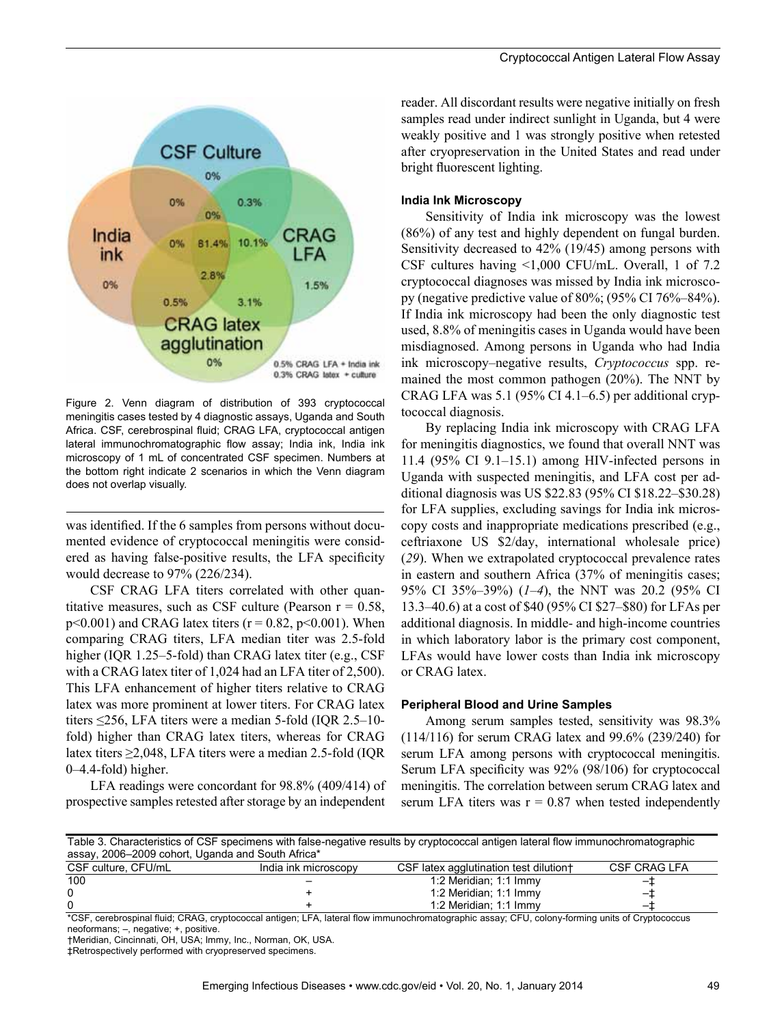

Figure 2. Venn diagram of distribution of 393 cryptococcal meningitis cases tested by 4 diagnostic assays, Uganda and South Africa. CSF, cerebrospinal fluid; CRAG LFA, cryptococcal antigen lateral immunochromatographic flow assay; India ink, India ink microscopy of 1 mL of concentrated CSF specimen. Numbers at the bottom right indicate 2 scenarios in which the Venn diagram does not overlap visually.

was identified. If the 6 samples from persons without documented evidence of cryptococcal meningitis were considered as having false-positive results, the LFA specificity would decrease to 97% (226/234).

CSF CRAG LFA titers correlated with other quantitative measures, such as CSF culture (Pearson  $r = 0.58$ ,  $p$ <0.001) and CRAG latex titers ( $r = 0.82$ ,  $p$ <0.001). When comparing CRAG titers, LFA median titer was 2.5-fold higher (IQR 1.25–5-fold) than CRAG latex titer (e.g., CSF with a CRAG latex titer of 1,024 had an LFA titer of 2,500). This LFA enhancement of higher titers relative to CRAG latex was more prominent at lower titers. For CRAG latex titers ≤256, LFA titers were a median 5-fold (IQR 2.5–10 fold) higher than CRAG latex titers, whereas for CRAG latex titers  $\geq$  2,048, LFA titers were a median 2.5-fold (IQR) 0–4.4-fold) higher.

LFA readings were concordant for 98.8% (409/414) of prospective samples retested after storage by an independent

reader. All discordant results were negative initially on fresh samples read under indirect sunlight in Uganda, but 4 were weakly positive and 1 was strongly positive when retested after cryopreservation in the United States and read under bright fluorescent lighting.

#### **India Ink Microscopy**

Sensitivity of India ink microscopy was the lowest (86%) of any test and highly dependent on fungal burden. Sensitivity decreased to 42% (19/45) among persons with CSF cultures having <1,000 CFU/mL. Overall, 1 of 7.2 cryptococcal diagnoses was missed by India ink microscopy (negative predictive value of 80%; (95% CI 76%–84%). If India ink microscopy had been the only diagnostic test used, 8.8% of meningitis cases in Uganda would have been misdiagnosed. Among persons in Uganda who had India ink microscopy–negative results, *Cryptococcus* spp. remained the most common pathogen (20%). The NNT by CRAG LFA was  $5.1$  (95% CI 4.1–6.5) per additional cryptococcal diagnosis.

By replacing India ink microscopy with CRAG LFA for meningitis diagnostics, we found that overall NNT was 11.4 (95% CI 9.1–15.1) among HIV-infected persons in Uganda with suspected meningitis, and LFA cost per additional diagnosis was US \$22.83 (95% CI \$18.22–\$30.28) for LFA supplies, excluding savings for India ink microscopy costs and inappropriate medications prescribed (e.g., ceftriaxone US \$2/day, international wholesale price) (*29*). When we extrapolated cryptococcal prevalence rates in eastern and southern Africa (37% of meningitis cases; 95% CI 35%–39%) (*1–4*), the NNT was 20.2 (95% CI 13.3–40.6) at a cost of \$40 (95% CI \$27–\$80) for LFAs per additional diagnosis. In middle- and high-income countries in which laboratory labor is the primary cost component, LFAs would have lower costs than India ink microscopy or CRAG latex.

#### **Peripheral Blood and Urine Samples**

Among serum samples tested, sensitivity was 98.3% (114/116) for serum CRAG latex and 99.6% (239/240) for serum LFA among persons with cryptococcal meningitis. Serum LFA specificity was 92% (98/106) for cryptococcal meningitis. The correlation between serum CRAG latex and serum LFA titers was  $r = 0.87$  when tested independently

Table 3. Characteristics of CSF specimens with false-negative results by cryptococcal antigen lateral flow immunochromatographic assay, 2006–2009 cohort, Uganda and South Africa\*

| CSF culture, CFU/mL | India ink microscopy | CSF latex agglutination test dilution+ | <b>CSF CRAG LFA</b> |
|---------------------|----------------------|----------------------------------------|---------------------|
| 100                 |                      | 1:2 Meridian; 1:1 Immy                 | -                   |
|                     |                      | 1:2 Meridian; 1:1 Immy                 | -                   |
|                     |                      | 1:2 Meridian: 1:1 Immv                 |                     |
|                     |                      |                                        |                     |

\*CSF, cerebrospinal fluid; CRAG, cryptococcal antigen; LFA, lateral flow immunochromatographic assay; CFU, colony-forming units of Cryptococcus neoformans; –, negative; +, positive.

†Meridian, Cincinnati, OH, USA; Immy, Inc., Norman, OK, USA.

‡Retrospectively performed with cryopreserved specimens.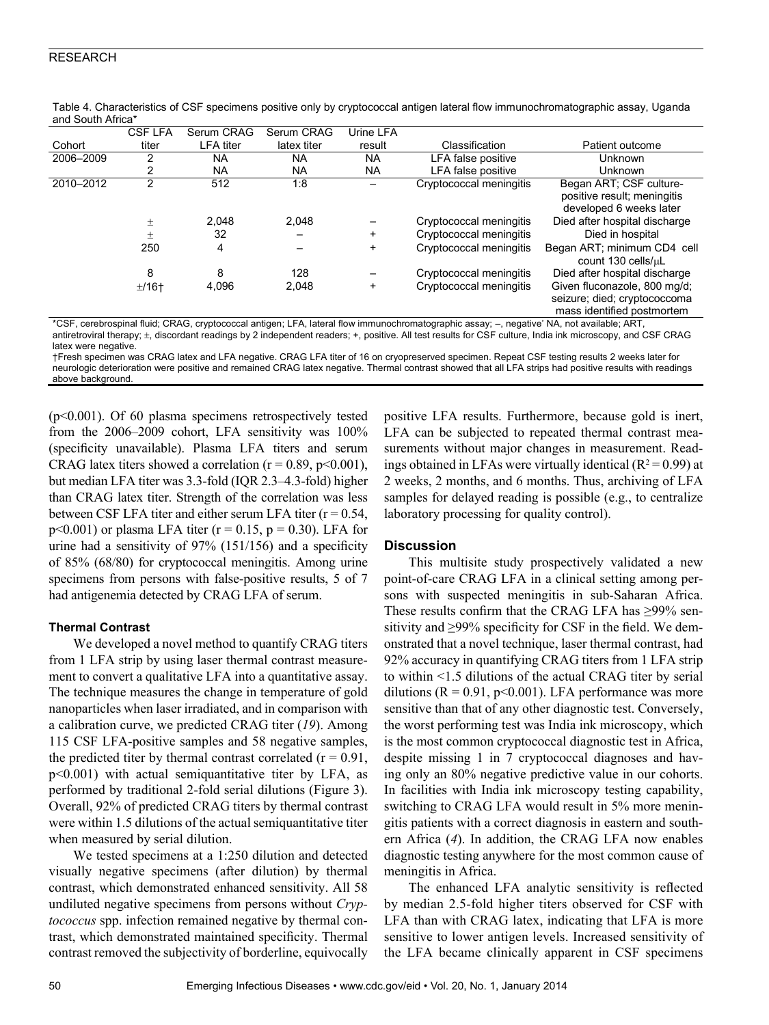## RESEARCH

|           | <b>CSF LFA</b>      | Serum CRAG       | Serum CRAG  | Urine LFA |                         |                               |
|-----------|---------------------|------------------|-------------|-----------|-------------------------|-------------------------------|
| Cohort    | titer               | <b>LFA</b> titer | latex titer | result    | Classification          | Patient outcome               |
| 2006-2009 | 2                   | <b>NA</b>        | <b>NA</b>   | <b>NA</b> | LFA false positive      | <b>Unknown</b>                |
|           |                     | NA.              | NA          | <b>NA</b> | LFA false positive      | <b>Unknown</b>                |
| 2010-2012 | ົ                   | 512              | 1:8         |           | Cryptococcal meningitis | Began ART; CSF culture-       |
|           |                     |                  |             |           |                         | positive result; meningitis   |
|           |                     |                  |             |           |                         | developed 6 weeks later       |
|           | 土                   | 2.048            | 2.048       |           | Cryptococcal meningitis | Died after hospital discharge |
|           | 土                   | 32               |             | $\ddot{}$ | Cryptococcal meningitis | Died in hospital              |
|           | 250                 | 4                |             | $\ddot{}$ | Cryptococcal meningitis | Began ART; minimum CD4 cell   |
|           |                     |                  |             |           |                         | count 130 cells/uL            |
|           | 8                   | 8                | 128         |           | Cryptococcal meningitis | Died after hospital discharge |
|           | $±/16$ <sup>+</sup> | 4.096            | 2,048       | ÷         | Cryptococcal meningitis | Given fluconazole, 800 mg/d;  |
|           |                     |                  |             |           |                         | seizure; died; cryptococcoma  |
|           |                     |                  |             |           |                         | mass identified postmortem    |

Table 4. Characteristics of CSF specimens positive only by cryptococcal antigen lateral flow immunochromatographic assay, Uganda and South Africa\*

\*CSF, cerebrospinal fluid; CRAG, cryptococcal antigen; LFA, lateral flow immunochromatographic assay; –, negative' NA, not available; ART, antiretroviral therapy;  $\pm$ , discordant readings by 2 independent readers; +, positive. All test results for CSF culture, India ink microscopy, and CSF CRAG latex were negative.

†Fresh specimen was CRAG latex and LFA negative. CRAG LFA titer of 16 on cryopreserved specimen. Repeat CSF testing results 2 weeks later for neurologic deterioration were positive and remained CRAG latex negative. Thermal contrast showed that all LFA strips had positive results with readings above background.

(p<0.001). Of 60 plasma specimens retrospectively tested from the 2006–2009 cohort, LFA sensitivity was 100% (specificity unavailable). Plasma LFA titers and serum CRAG latex titers showed a correlation  $(r = 0.89, p \le 0.001)$ , but median LFA titer was 3.3-fold (IQR 2.3–4.3-fold) higher than CRAG latex titer. Strength of the correlation was less between CSF LFA titer and either serum LFA titer  $(r = 0.54$ ,  $p<0.001$ ) or plasma LFA titer ( $r = 0.15$ ,  $p = 0.30$ ). LFA for urine had a sensitivity of 97% (151/156) and a specificity of 85% (68/80) for cryptococcal meningitis. Among urine specimens from persons with false-positive results, 5 of 7 had antigenemia detected by CRAG LFA of serum.

## **Thermal Contrast**

We developed a novel method to quantify CRAG titers from 1 LFA strip by using laser thermal contrast measurement to convert a qualitative LFA into a quantitative assay. The technique measures the change in temperature of gold nanoparticles when laser irradiated, and in comparison with a calibration curve, we predicted CRAG titer (*19*). Among 115 CSF LFA-positive samples and 58 negative samples, the predicted titer by thermal contrast correlated  $(r = 0.91)$ , p<0.001) with actual semiquantitative titer by LFA, as performed by traditional 2-fold serial dilutions (Figure 3). Overall, 92% of predicted CRAG titers by thermal contrast were within 1.5 dilutions of the actual semiquantitative titer when measured by serial dilution.

We tested specimens at a 1:250 dilution and detected visually negative specimens (after dilution) by thermal contrast, which demonstrated enhanced sensitivity. All 58 undiluted negative specimens from persons without *Cryptococcus* spp. infection remained negative by thermal contrast, which demonstrated maintained specificity. Thermal contrast removed the subjectivity of borderline, equivocally

positive LFA results. Furthermore, because gold is inert, LFA can be subjected to repeated thermal contrast measurements without major changes in measurement. Readings obtained in LFAs were virtually identical  $(R^2 = 0.99)$  at 2 weeks, 2 months, and 6 months. Thus, archiving of LFA samples for delayed reading is possible (e.g., to centralize laboratory processing for quality control).

## **Discussion**

This multisite study prospectively validated a new point-of-care CRAG LFA in a clinical setting among persons with suspected meningitis in sub-Saharan Africa. These results confirm that the CRAG LFA has ≥99% sensitivity and ≥99% specificity for CSF in the field. We demonstrated that a novel technique, laser thermal contrast, had 92% accuracy in quantifying CRAG titers from 1 LFA strip to within <1.5 dilutions of the actual CRAG titer by serial dilutions ( $R = 0.91$ ,  $p < 0.001$ ). LFA performance was more sensitive than that of any other diagnostic test. Conversely, the worst performing test was India ink microscopy, which is the most common cryptococcal diagnostic test in Africa, despite missing 1 in 7 cryptococcal diagnoses and having only an 80% negative predictive value in our cohorts. In facilities with India ink microscopy testing capability, switching to CRAG LFA would result in 5% more meningitis patients with a correct diagnosis in eastern and southern Africa (*4*). In addition, the CRAG LFA now enables diagnostic testing anywhere for the most common cause of meningitis in Africa.

The enhanced LFA analytic sensitivity is reflected by median 2.5-fold higher titers observed for CSF with LFA than with CRAG latex, indicating that LFA is more sensitive to lower antigen levels. Increased sensitivity of the LFA became clinically apparent in CSF specimens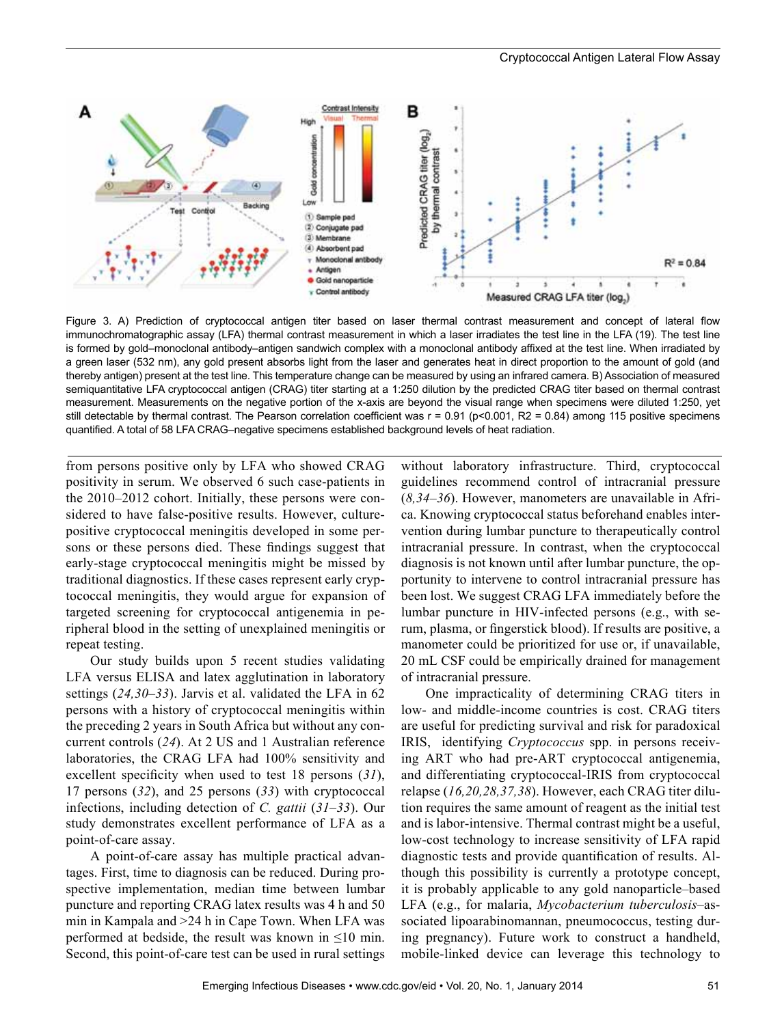

Figure 3. A) Prediction of cryptococcal antigen titer based on laser thermal contrast measurement and concept of lateral flow immunochromatographic assay (LFA) thermal contrast measurement in which a laser irradiates the test line in the LFA (19). The test line is formed by gold–monoclonal antibody–antigen sandwich complex with a monoclonal antibody affixed at the test line. When irradiated by a green laser (532 nm), any gold present absorbs light from the laser and generates heat in direct proportion to the amount of gold (and thereby antigen) present at the test line. This temperature change can be measured by using an infrared camera. B) Association of measured semiquantitative LFA cryptococcal antigen (CRAG) titer starting at a 1:250 dilution by the predicted CRAG titer based on thermal contrast measurement. Measurements on the negative portion of the x-axis are beyond the visual range when specimens were diluted 1:250, yet still detectable by thermal contrast. The Pearson correlation coefficient was  $r = 0.91$  (p<0.001, R2 = 0.84) among 115 positive specimens quantified. A total of 58 LFA CRAG–negative specimens established background levels of heat radiation.

from persons positive only by LFA who showed CRAG positivity in serum. We observed 6 such case-patients in the 2010–2012 cohort. Initially, these persons were considered to have false-positive results. However, culturepositive cryptococcal meningitis developed in some persons or these persons died. These findings suggest that early-stage cryptococcal meningitis might be missed by traditional diagnostics. If these cases represent early cryptococcal meningitis, they would argue for expansion of targeted screening for cryptococcal antigenemia in peripheral blood in the setting of unexplained meningitis or repeat testing.

Our study builds upon 5 recent studies validating LFA versus ELISA and latex agglutination in laboratory settings (*24,30–33*). Jarvis et al. validated the LFA in 62 persons with a history of cryptococcal meningitis within the preceding 2 years in South Africa but without any concurrent controls (*24*). At 2 US and 1 Australian reference laboratories, the CRAG LFA had 100% sensitivity and excellent specificity when used to test 18 persons (*31*), 17 persons (*32*), and 25 persons (*33*) with cryptococcal infections, including detection of *C. gattii* (*31–33*). Our study demonstrates excellent performance of LFA as a point-of-care assay.

A point-of-care assay has multiple practical advantages. First, time to diagnosis can be reduced. During prospective implementation, median time between lumbar puncture and reporting CRAG latex results was 4 h and 50 min in Kampala and >24 h in Cape Town. When LFA was performed at bedside, the result was known in  $\leq 10$  min. Second, this point-of-care test can be used in rural settings

without laboratory infrastructure. Third, cryptococcal guidelines recommend control of intracranial pressure (*8,34–36*). However, manometers are unavailable in Africa. Knowing cryptococcal status beforehand enables intervention during lumbar puncture to therapeutically control intracranial pressure. In contrast, when the cryptococcal diagnosis is not known until after lumbar puncture, the opportunity to intervene to control intracranial pressure has been lost. We suggest CRAG LFA immediately before the lumbar puncture in HIV-infected persons (e.g., with serum, plasma, or fingerstick blood). If results are positive, a manometer could be prioritized for use or, if unavailable, 20 mL CSF could be empirically drained for management of intracranial pressure.

One impracticality of determining CRAG titers in low- and middle-income countries is cost. CRAG titers are useful for predicting survival and risk for paradoxical IRIS, identifying *Cryptococcus* spp. in persons receiving ART who had pre-ART cryptococcal antigenemia, and differentiating cryptococcal-IRIS from cryptococcal relapse (*16,20,28,37,38*). However, each CRAG titer dilution requires the same amount of reagent as the initial test and is labor-intensive. Thermal contrast might be a useful, low-cost technology to increase sensitivity of LFA rapid diagnostic tests and provide quantification of results. Although this possibility is currently a prototype concept, it is probably applicable to any gold nanoparticle–based LFA (e.g., for malaria, *Mycobacterium tuberculosis*–associated lipoarabinomannan, pneumococcus, testing during pregnancy). Future work to construct a handheld, mobile-linked device can leverage this technology to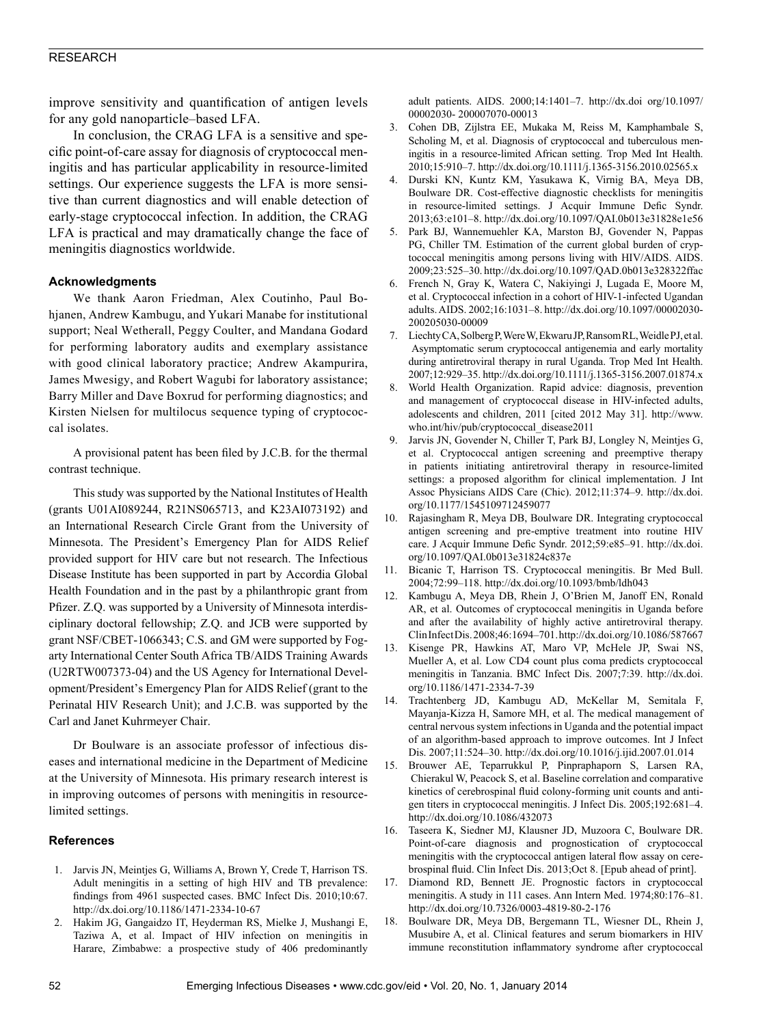## RESEARCH

improve sensitivity and quantification of antigen levels for any gold nanoparticle–based LFA.

In conclusion, the CRAG LFA is a sensitive and specific point-of-care assay for diagnosis of cryptococcal meningitis and has particular applicability in resource-limited settings. Our experience suggests the LFA is more sensitive than current diagnostics and will enable detection of early-stage cryptococcal infection. In addition, the CRAG LFA is practical and may dramatically change the face of meningitis diagnostics worldwide.

#### **Acknowledgments**

We thank Aaron Friedman, Alex Coutinho, Paul Bohjanen, Andrew Kambugu, and Yukari Manabe for institutional support; Neal Wetherall, Peggy Coulter, and Mandana Godard for performing laboratory audits and exemplary assistance with good clinical laboratory practice; Andrew Akampurira, James Mwesigy, and Robert Wagubi for laboratory assistance; Barry Miller and Dave Boxrud for performing diagnostics; and Kirsten Nielsen for multilocus sequence typing of cryptococcal isolates.

A provisional patent has been filed by J.C.B. for the thermal contrast technique.

This study was supported by the National Institutes of Health (grants U01AI089244, R21NS065713, and K23AI073192) and an International Research Circle Grant from the University of Minnesota. The President's Emergency Plan for AIDS Relief provided support for HIV care but not research. The Infectious Disease Institute has been supported in part by Accordia Global Health Foundation and in the past by a philanthropic grant from Pfizer. Z.Q. was supported by a University of Minnesota interdisciplinary doctoral fellowship; Z.Q. and JCB were supported by grant NSF/CBET-1066343; C.S. and GM were supported by Fogarty International Center South Africa TB/AIDS Training Awards (U2RTW007373-04) and the US Agency for International Development/President's Emergency Plan for AIDS Relief (grant to the Perinatal HIV Research Unit); and J.C.B. was supported by the Carl and Janet Kuhrmeyer Chair.

Dr Boulware is an associate professor of infectious diseases and international medicine in the Department of Medicine at the University of Minnesota. His primary research interest is in improving outcomes of persons with meningitis in resourcelimited settings.

#### **References**

- 1. Jarvis JN, Meintjes G, Williams A, Brown Y, Crede T, Harrison TS. Adult meningitis in a setting of high HIV and TB prevalence: findings from 4961 suspected cases. BMC Infect Dis. 2010;10:67. http://dx.doi.org/10.1186/1471-2334-10-67
- 2. Hakim JG, Gangaidzo IT, Heyderman RS, Mielke J, Mushangi E, Taziwa A, et al. Impact of HIV infection on meningitis in Harare, Zimbabwe: a prospective study of 406 predominantly

adult patients. AIDS. 2000;14:1401–7. http://dx.doi org/10.1097/ 00002030- 200007070-00013

- 3. Cohen DB, Zijlstra EE, Mukaka M, Reiss M, Kamphambale S, Scholing M, et al. Diagnosis of cryptococcal and tuberculous meningitis in a resource-limited African setting. Trop Med Int Health. 2010;15:910–7. http://dx.doi.org/10.1111/j.1365-3156.2010.02565.x
- 4. Durski KN, Kuntz KM, Yasukawa K, Virnig BA, Meya DB, Boulware DR. Cost-effective diagnostic checklists for meningitis in resource-limited settings. J Acquir Immune Defic Syndr. 2013;63:e101–8. http://dx.doi.org/10.1097/QAI.0b013e31828e1e56
- 5. Park BJ, Wannemuehler KA, Marston BJ, Govender N, Pappas PG, Chiller TM. Estimation of the current global burden of cryptococcal meningitis among persons living with HIV/AIDS. AIDS. 2009;23:525–30. http://dx.doi.org/10.1097/QAD.0b013e328322ffac
- 6. French N, Gray K, Watera C, Nakiyingi J, Lugada E, Moore M, et al. Cryptococcal infection in a cohort of HIV-1-infected Ugandan adults. AIDS. 2002;16:1031–8. http://dx.doi.org/10.1097/00002030- 200205030-00009
- 7. Liechty CA, Solberg P, Were W, Ekwaru JP, Ransom RL, Weidle PJ, et al. Asymptomatic serum cryptococcal antigenemia and early mortality during antiretroviral therapy in rural Uganda. Trop Med Int Health. 2007;12:929–35. http://dx.doi.org/10.1111/j.1365-3156.2007.01874.x
- 8. World Health Organization. Rapid advice: diagnosis, prevention and management of cryptococcal disease in HIV-infected adults, adolescents and children, 2011 [cited 2012 May 31]. http://www. who.int/hiv/pub/cryptococcal\_disease2011
- 9. Jarvis JN, Govender N, Chiller T, Park BJ, Longley N, Meintjes G, et al. Cryptococcal antigen screening and preemptive therapy in patients initiating antiretroviral therapy in resource-limited settings: a proposed algorithm for clinical implementation. J Int Assoc Physicians AIDS Care (Chic). 2012;11:374–9. http://dx.doi. org/10.1177/1545109712459077
- 10. Rajasingham R, Meya DB, Boulware DR. Integrating cryptococcal antigen screening and pre-emptive treatment into routine HIV care. J Acquir Immune Defic Syndr. 2012;59:e85–91. http://dx.doi. org/10.1097/QAI.0b013e31824c837e
- 11. Bicanic T, Harrison TS. Cryptococcal meningitis. Br Med Bull. 2004;72:99–118. http://dx.doi.org/10.1093/bmb/ldh043
- 12. Kambugu A, Meya DB, Rhein J, O'Brien M, Janoff EN, Ronald AR, et al. Outcomes of cryptococcal meningitis in Uganda before and after the availability of highly active antiretroviral therapy. Clin Infect Dis. 2008;46:1694–701. http://dx.doi.org/10.1086/587667
- 13. Kisenge PR, Hawkins AT, Maro VP, McHele JP, Swai NS, Mueller A, et al. Low CD4 count plus coma predicts cryptococcal meningitis in Tanzania. BMC Infect Dis. 2007;7:39. http://dx.doi. org/10.1186/1471-2334-7-39
- 14. Trachtenberg JD, Kambugu AD, McKellar M, Semitala F, Mayanja-Kizza H, Samore MH, et al. The medical management of central nervous system infections in Uganda and the potential impact of an algorithm-based approach to improve outcomes. Int J Infect Dis. 2007;11:524–30. http://dx.doi.org/10.1016/j.ijid.2007.01.014
- 15. Brouwer AE, Teparrukkul P, Pinpraphaporn S, Larsen RA, Chierakul W, Peacock S, et al. Baseline correlation and comparative kinetics of cerebrospinal fluid colony-forming unit counts and antigen titers in cryptococcal meningitis. J Infect Dis. 2005;192:681–4. http://dx.doi.org/10.1086/432073
- 16. Taseera K, Siedner MJ, Klausner JD, Muzoora C, Boulware DR. Point-of-care diagnosis and prognostication of cryptococcal meningitis with the cryptococcal antigen lateral flow assay on cerebrospinal fluid. Clin Infect Dis. 2013;Oct 8. [Epub ahead of print].
- 17. Diamond RD, Bennett JE. Prognostic factors in cryptococcal meningitis. A study in 111 cases. Ann Intern Med. 1974;80:176–81. http://dx.doi.org/10.7326/0003-4819-80-2-176
- 18. Boulware DR, Meya DB, Bergemann TL, Wiesner DL, Rhein J, Musubire A, et al. Clinical features and serum biomarkers in HIV immune reconstitution inflammatory syndrome after cryptococcal